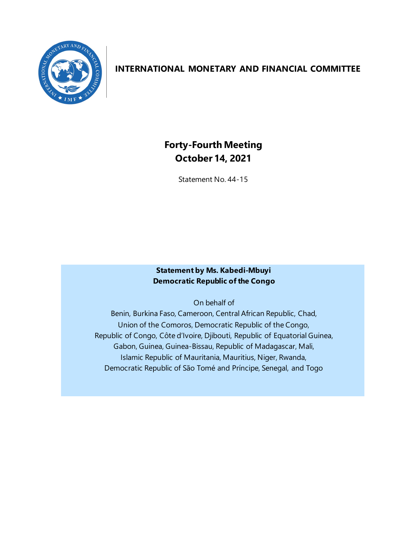

# **INTERNATIONAL MONETARY AND FINANCIAL COMMITTEE**

# **Forty-Fourth Meeting October 14, 2021**

Statement No. 44-15

### **Statement by Ms. Kabedi-Mbuyi Democratic Republic of the Congo**

On behalf of

Benin, Burkina Faso, Cameroon, Central African Republic, Chad, Union of the Comoros, Democratic Republic of the Congo, Republic of Congo, Côte d'Ivoire, Djibouti, Republic of Equatorial Guinea, Gabon, Guinea, Guinea-Bissau, Republic of Madagascar, Mali, Islamic Republic of Mauritania, Mauritius, Niger, Rwanda, Democratic Republic of São Tomé and Príncipe, Senegal, and Togo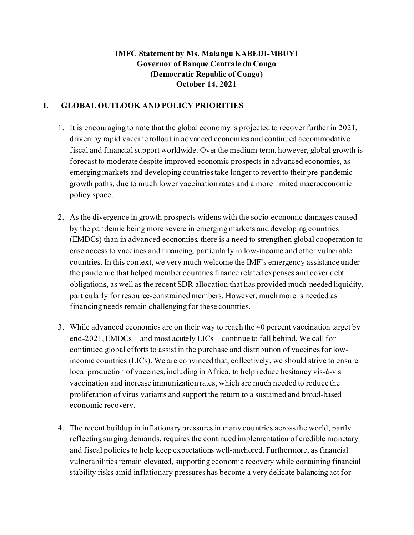## **IMFC Statement by Ms. Malangu KABEDI-MBUYI Governor of Banque Centrale du Congo (Democratic Republic of Congo) October 14, 2021**

### **I. GLOBAL OUTLOOK AND POLICY PRIORITIES**

- 1. It is encouraging to note that the global economy is projected to recover further in 2021, driven by rapid vaccine rollout in advanced economies and continued accommodative fiscal and financial support worldwide. Over the medium-term, however, global growth is forecast to moderate despite improved economic prospects in advanced economies, as emerging markets and developing countries take longer to revert to their pre-pandemic growth paths, due to much lower vaccination rates and a more limited macroeconomic policy space.
- 2. As the divergence in growth prospects widens with the socio-economic damages caused by the pandemic being more severe in emerging markets and developing countries (EMDCs) than in advanced economies, there is a need to strengthen global cooperation to ease access to vaccines and financing, particularly in low-income and other vulnerable countries. In this context, we very much welcome the IMF's emergency assistance under the pandemic that helped member countries finance related expenses and cover debt obligations, as well as the recent SDR allocation that has provided much-needed liquidity, particularly for resource-constrained members. However, much more is needed as financing needs remain challenging for these countries.
- 3. While advanced economies are on their way to reach the 40 percent vaccination target by end-2021, EMDCs—and most acutely LICs—continue to fall behind. We call for continued global efforts to assist in the purchase and distribution of vaccines for lowincome countries (LICs). We are convinced that, collectively, we should strive to ensure local production of vaccines, including in Africa, to help reduce hesitancy vis-à-vis vaccination and increase immunization rates, which are much needed to reduce the proliferation of virus variants and support the return to a sustained and broad-based economic recovery.
- 4. The recent buildup in inflationary pressures in many countries across the world, partly reflecting surging demands, requires the continued implementation of credible monetary and fiscal policies to help keep expectations well-anchored. Furthermore, as financial vulnerabilities remain elevated, supporting economic recovery while containing financial stability risks amid inflationary pressures has become a very delicate balancing act for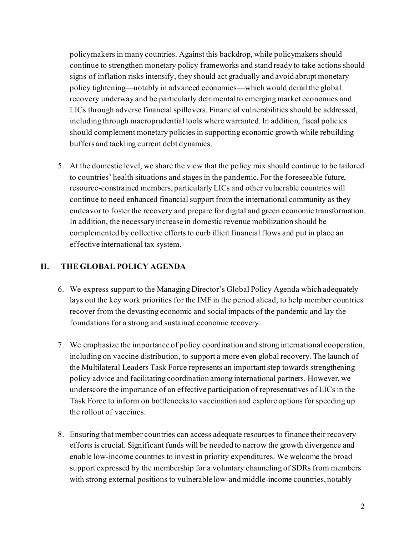policymakers in many countries. Against this backdrop, while policymakers should continue to strengthen monetary policy frameworks and stand ready to take actions should signs of inflation risks intensify, they should act gradually and avoid abrupt monetary policy tightening—notably in advanced economies—which would derail the global recovery underway and be particularly detrimental to emerging market economies and LICs through adverse financial spillovers. Financial vulnerabilities should be addressed, including through macroprudential tools where warranted. In addition, fiscal policies should complement monetary policies in supporting economic growth while rebuilding buffers and tackling current debt dynamics.

5. At the domestic level, we share the view that the policy mix should continue to be tailored to countries' health situations and stages in the pandemic. For the foreseeable future, resource-constrained members, particularly LICs and other vulnerable countries will continue to need enhanced financial support from the international community as they endeavor to foster the recovery and prepare for digital and green economic transformation. In addition, the necessary increase in domestic revenue mobilization should be complemented by collective efforts to curb illicit financial flows and put in place an effective international tax system.

#### **II. THE GLOBAL POLICY AGENDA**

- 6. We express support to the Managing Director's Global Policy Agenda which adequately lays out the key work priorities for the IMF in the period ahead, to help member countries recover from the devasting economic and social impacts of the pandemic and lay the foundations for a strong and sustained economic recovery.
- 7. We emphasize the importance of policy coordination and strong international cooperation, including on vaccine distribution, to support a more even global recovery. The launch of the Multilateral Leaders Task Force represents an important step towards strengthening policy advice and facilitating coordination among international partners. However, we underscore the importance of an effective participation of representatives of LICs in the Task Force to inform on bottlenecks to vaccination and explore options for speeding up the rollout of vaccines.
- 8. Ensuring that member countries can access adequate resources to finance their recovery efforts is crucial. Significant funds will be needed to narrow the growth divergence and enable low-income countries to invest in priority expenditures. We welcome the broad support expressed by the membership for a voluntary channeling of SDRs from members with strong external positions to vulnerable low-and middle-income countries, notably